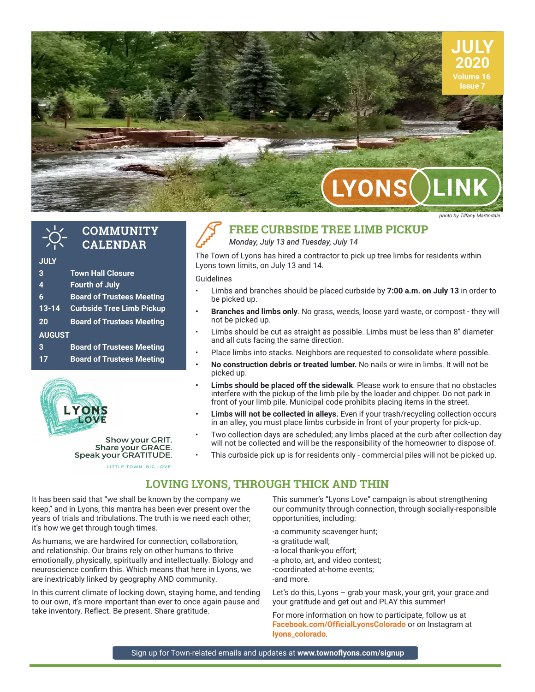

**COMMUNITY CALENDAR**

| <b>JULY</b>   |                                  |
|---------------|----------------------------------|
| 3             | <b>Town Hall Closure</b>         |
| 4             | <b>Fourth of July</b>            |
| 6             | <b>Board of Trustees Meeting</b> |
| $13 - 14$     | <b>Curbside Tree Limb Pickup</b> |
| 20            | <b>Board of Trustees Meeting</b> |
| <b>AUGUST</b> |                                  |
| 3             | <b>Board of Trustees Meeting</b> |
| 17            | <b>Board of Trustees Meeting</b> |



Show your GRIT. Share your GRACE. Speak your GRATITUDE.

LITTLE TOWN. BIG LOVE!

# **FREE CURBSIDE TREE LIMB PICKUP**

#### *Monday, July 13 and Tuesday, July 14*

The Town of Lyons has hired a contractor to pick up tree limbs for residents within Lyons town limits, on July 13 and 14.

Guidelines

- Limbs and branches should be placed curbside by **7:00 a.m. on July 13** in order to be picked up.
- **• Branches and limbs only**. No grass, weeds, loose yard waste, or compost they will not be picked up.
- Limbs should be cut as straight as possible. Limbs must be less than 8" diameter and all cuts facing the same direction.
- Place limbs into stacks. Neighbors are requested to consolidate where possible.
- **• No construction debris or treated lumber.** No nails or wire in limbs. It will not be picked up.
- **• Limbs should be placed off the sidewalk**. Please work to ensure that no obstacles interfere with the pickup of the limb pile by the loader and chipper. Do not park in front of your limb pile. Municipal code prohibits placing items in the street.
- **• Limbs will not be collected in alleys.** Even if your trash/recycling collection occurs in an alley, you must place limbs curbside in front of your property for pick-up.
- Two collection days are scheduled; any limbs placed at the curb after collection day will not be collected and will be the responsibility of the homeowner to dispose of.
	- This curbside pick up is for residents only commercial piles will not be picked up.

## **LOVING LYONS, THROUGH THICK AND THIN**

It has been said that "we shall be known by the company we keep," and in Lyons, this mantra has been ever present over the years of trials and tribulations. The truth is we need each other; it's how we get through tough times.

As humans, we are hardwired for connection, collaboration, and relationship. Our brains rely on other humans to thrive emotionally, physically, spiritually and intellectually. Biology and neuroscience confirm this. Which means that here in Lyons, we are inextricably linked by geography AND community.

In this current climate of locking down, staying home, and tending to our own, it's more important than ever to once again pause and take inventory. Reflect. Be present. Share gratitude.

This summer's "Lyons Love" campaign is about strengthening our community through connection, through socially-responsible opportunities, including:

-a community scavenger hunt;

-a gratitude wall;

-a local thank-you effort;

-a photo, art, and video contest;

-coordinated at-home events;

-and more.

Let's do this, Lyons - grab your mask, your grit, your grace and your gratitude and get out and PLAY this summer!

For more information on how to participate, follow us at **Facebook.com/OfficialLyonsColorado** or on Instagram at **lyons\_colorado**.